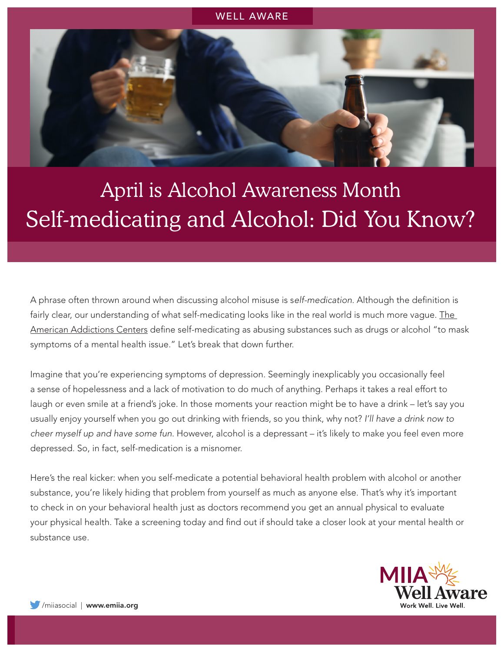

## April is Alcohol Awareness Month Self-medicating and Alcohol: Did You Know?

A phrase often thrown around when discussing alcohol misuse is s*elf-medication.* Although the definition is fairly clear, our understanding of what self-medicating looks like in the real world is much more vague. The [American Addictions Centers](https://americanaddictioncenters.org/adult-addiction-treatment-programs/self-medicating) define self-medicating as abusing substances such as drugs or alcohol "to mask symptoms of a mental health issue." Let's break that down further.

Imagine that you're experiencing symptoms of depression. Seemingly inexplicably you occasionally feel a sense of hopelessness and a lack of motivation to do much of anything. Perhaps it takes a real effort to laugh or even smile at a friend's joke. In those moments your reaction might be to have a drink – let's say you usually enjoy yourself when you go out drinking with friends, so you think, why not? *I'll have a drink now to cheer myself up and have some fun*. However, alcohol is a depressant – it's likely to make you feel even more depressed. So, in fact, self-medication is a misnomer.

Here's the real kicker: when you self-medicate a potential behavioral health problem with alcohol or another substance, you're likely hiding that problem from yourself as much as anyone else. That's why it's important to check in on your behavioral health just as doctors recommend you get an annual physical to evaluate your physical health. Take a screening today and find out if should take a closer look at your mental health or substance use.